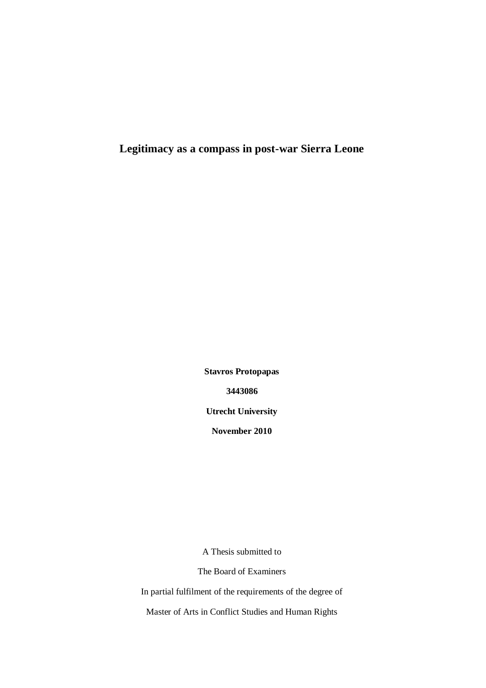**Legitimacy as a compass in post-war Sierra Leone**

**Stavros Protopapas 3443086 Utrecht University November 2010**

A Thesis submitted to

The Board of Examiners

In partial fulfilment of the requirements of the degree of

Master of Arts in Conflict Studies and Human Rights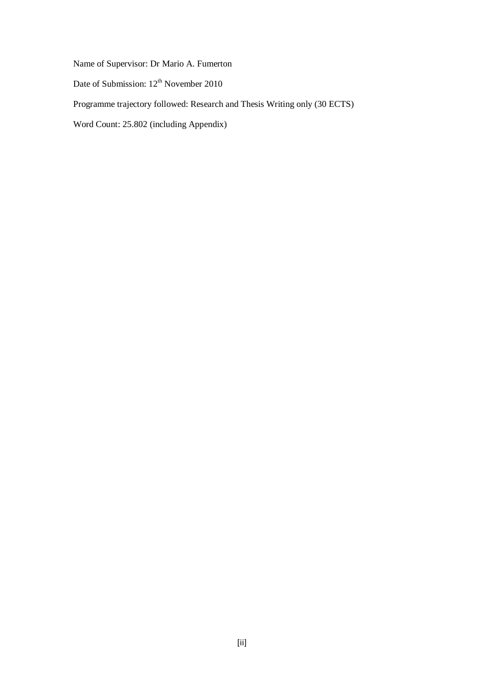Name of Supervisor: Dr Mario A. Fumerton

Date of Submission: 12<sup>th</sup> November 2010

Programme trajectory followed: Research and Thesis Writing only (30 ECTS)

Word Count: 25.802 (including Appendix)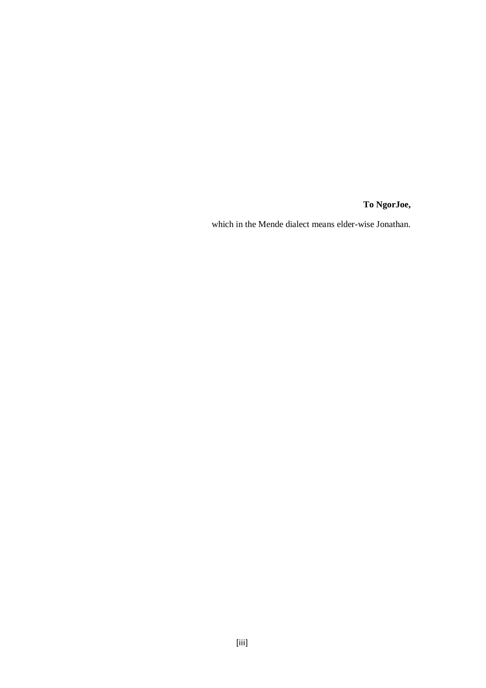**To NgorJoe,**

which in the Mende dialect means elder-wise Jonathan.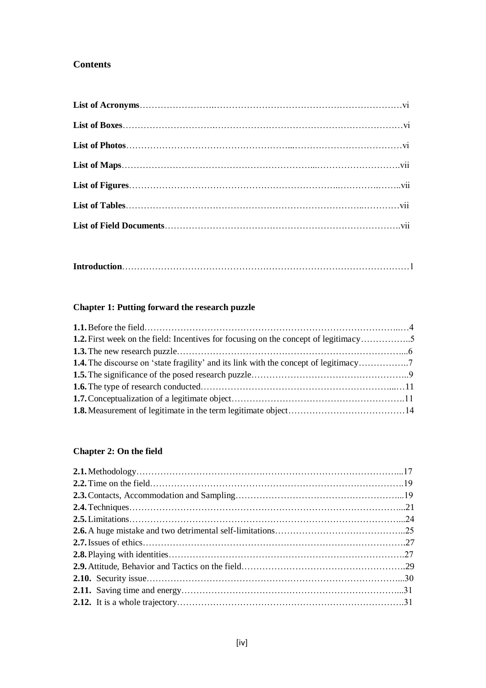## **Contents**

|--|--|

## **Chapter 1: Putting forward the research puzzle**

| <b>1.2.</b> First week on the field: Incentives for focusing on the concept of legitimacy5 |  |
|--------------------------------------------------------------------------------------------|--|
|                                                                                            |  |
|                                                                                            |  |
|                                                                                            |  |
|                                                                                            |  |
|                                                                                            |  |
|                                                                                            |  |

## **Chapter 2: On the field**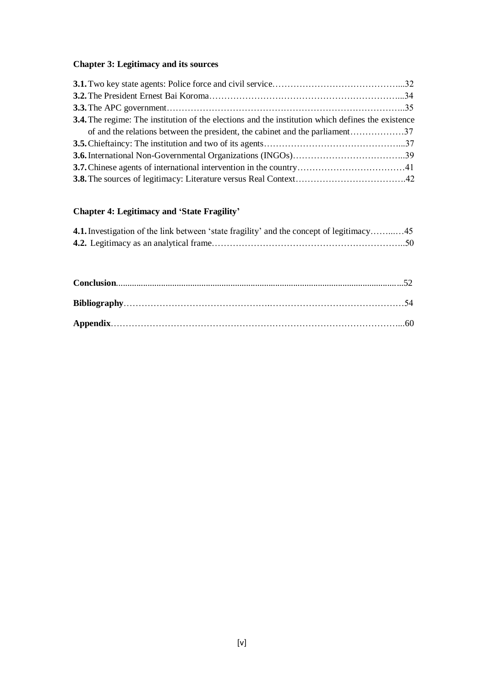# **Chapter 3: Legitimacy and its sources**

| <b>3.4.</b> The regime: The institution of the elections and the institution which defines the existence |  |
|----------------------------------------------------------------------------------------------------------|--|
|                                                                                                          |  |
|                                                                                                          |  |
|                                                                                                          |  |
|                                                                                                          |  |
|                                                                                                          |  |

# **Chapter 4: Legitimacy and 'State Fragility'**

| 4.1. Investigation of the link between 'state fragility' and the concept of legitimacy 45 |  |
|-------------------------------------------------------------------------------------------|--|
|                                                                                           |  |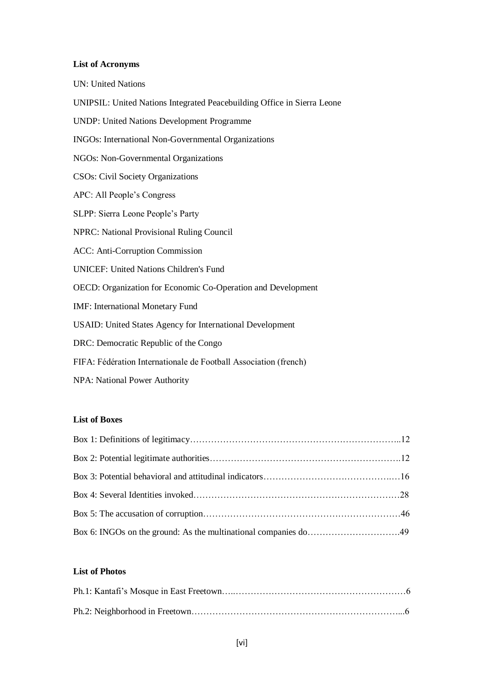## **List of Acronyms**

| <b>UN: United Nations</b>                                               |
|-------------------------------------------------------------------------|
| UNIPSIL: United Nations Integrated Peacebuilding Office in Sierra Leone |
| <b>UNDP: United Nations Development Programme</b>                       |
| INGOs: International Non-Governmental Organizations                     |
| NGOs: Non-Governmental Organizations                                    |
| <b>CSOs: Civil Society Organizations</b>                                |
| APC: All People's Congress                                              |
| SLPP: Sierra Leone People's Party                                       |
| NPRC: National Provisional Ruling Council                               |
| <b>ACC: Anti-Corruption Commission</b>                                  |
| <b>UNICEF: United Nations Children's Fund</b>                           |
| OECD: Organization for Economic Co-Operation and Development            |
| <b>IMF:</b> International Monetary Fund                                 |
| USAID: United States Agency for International Development               |
| DRC: Democratic Republic of the Congo                                   |
| FIFA: Fédération Internationale de Football Association (french)        |
| NPA: National Power Authority                                           |

#### **List of Boxes**

### **List of Photos**